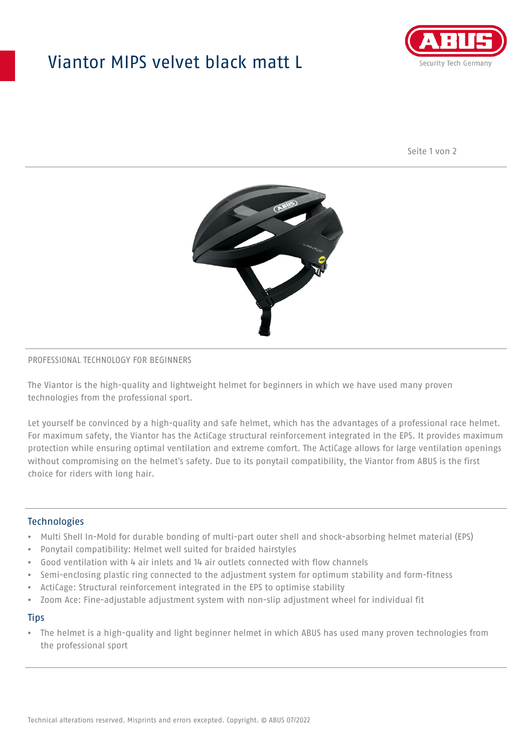## Viantor MIPS velvet black matt L



Seite 1 von 2



#### PROFESSIONAL TECHNOLOGY FOR BEGINNERS

The Viantor is the high-quality and lightweight helmet for beginners in which we have used many proven technologies from the professional sport.

Let yourself be convinced by a high-quality and safe helmet, which has the advantages of a professional race helmet. For maximum safety, the Viantor has the ActiCage structural reinforcement integrated in the EPS. It provides maximum protection while ensuring optimal ventilation and extreme comfort. The ActiCage allows for large ventilation openings without compromising on the helmet's safety. Due to its ponytail compatibility, the Viantor from ABUS is the first choice for riders with long hair.

### **Technologies**

- Multi Shell In-Mold for durable bonding of multi-part outer shell and shock-absorbing helmet material (EPS)
- Ponytail compatibility: Helmet well suited for braided hairstyles
- Good ventilation with 4 air inlets and 14 air outlets connected with flow channels
- Semi-enclosing plastic ring connected to the adjustment system for optimum stability and form-fitness
- ActiCage: Structural reinforcement integrated in the EPS to optimise stability
- Zoom Ace: Fine-adjustable adjustment system with non-slip adjustment wheel for individual fit

#### **Tips**

• The helmet is a high-quality and light beginner helmet in which ABUS has used many proven technologies from the professional sport